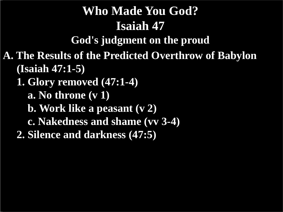# **Who Made You God? Isaiah 47**

**God's judgment on the proud**

**A. The Results of the Predicted Overthrow of Babylon (Isaiah 47:1-5)**

 **1. Glory removed (47:1-4)**

 **a. No throne (v 1)**

 **b. Work like a peasant (v 2)**

 **c. Nakedness and shame (vv 3-4)**

 **2. Silence and darkness (47:5)**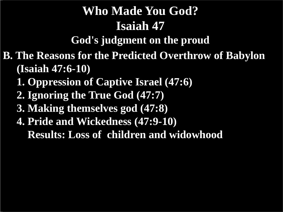# **Who Made You God? Isaiah 47**

**God's judgment on the proud**

**B. The Reasons for the Predicted Overthrow of Babylon (Isaiah 47:6-10)**

- **1. Oppression of Captive Israel (47:6)**
- **2. Ignoring the True God (47:7)**
- **3. Making themselves god (47:8)**
- **4. Pride and Wickedness (47:9-10) Results: Loss of children and widowhood**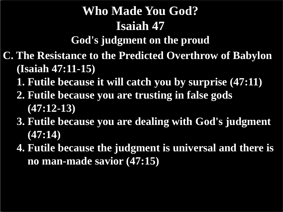# **Who Made You God? Isaiah 47**

**God's judgment on the proud**

- **C. The Resistance to the Predicted Overthrow of Babylon (Isaiah 47:11-15)**
	- **1. Futile because it will catch you by surprise (47:11)**
	- **2. Futile because you are trusting in false gods (47:12-13)**
	- **3. Futile because you are dealing with God's judgment (47:14)**
	- **4. Futile because the judgment is universal and there is no man-made savior (47:15)**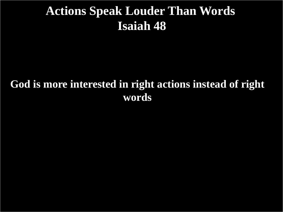## **Actions Speak Louder Than Words Isaiah 48**

#### **God is more interested in right actions instead of right words**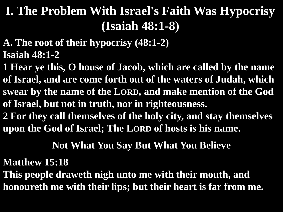- **A. The root of their hypocrisy (48:1-2) Isaiah 48:1-2**
- **1 Hear ye this, O house of Jacob, which are called by the name of Israel, and are come forth out of the waters of Judah, which swear by the name of the LORD, and make mention of the God of Israel, but not in truth, nor in righteousness. 2 For they call themselves of the holy city, and stay themselves**

**upon the God of Israel; The LORD of hosts is his name.**

#### **Not What You Say But What You Believe**

#### **Matthew 15:18**

**This people draweth nigh unto me with their mouth, and honoureth me with their lips; but their heart is far from me.**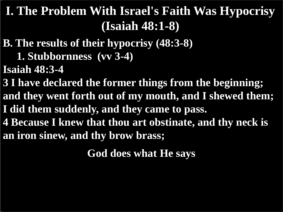- **B. The results of their hypocrisy (48:3-8)**
	- **1. Stubbornness (vv 3-4)**
- **Isaiah 48:3-4**

**3 I have declared the former things from the beginning; and they went forth out of my mouth, and I shewed them; I did them suddenly, and they came to pass. 4 Because I knew that thou art obstinate, and thy neck is an iron sinew, and thy brow brass;**

**God does what He says**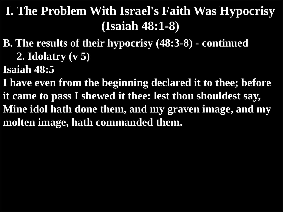- **B. The results of their hypocrisy (48:3-8) - continued 2. Idolatry (v 5)**
- **Isaiah 48:5**

**I have even from the beginning declared it to thee; before it came to pass I shewed it thee: lest thou shouldest say, Mine idol hath done them, and my graven image, and my molten image, hath commanded them.**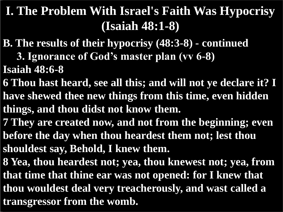- **B. The results of their hypocrisy (48:3-8) - continued**
	- **3. Ignorance of God's master plan (vv 6-8)**
- **Isaiah 48:6-8**
- **6 Thou hast heard, see all this; and will not ye declare it? I have shewed thee new things from this time, even hidden things, and thou didst not know them.**
- **7 They are created now, and not from the beginning; even before the day when thou heardest them not; lest thou shouldest say, Behold, I knew them.**
- **8 Yea, thou heardest not; yea, thou knewest not; yea, from that time that thine ear was not opened: for I knew that thou wouldest deal very treacherously, and wast called a transgressor from the womb.**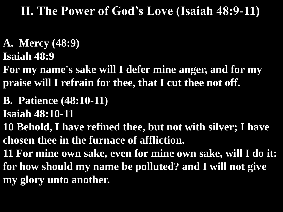## **II. The Power of God's Love (Isaiah 48:9-11)**

**A. Mercy (48:9) Isaiah 48:9**

**For my name's sake will I defer mine anger, and for my praise will I refrain for thee, that I cut thee not off.**

- **B. Patience (48:10-11)**
- **Isaiah 48:10-11**

**10 Behold, I have refined thee, but not with silver; I have chosen thee in the furnace of affliction.**

**11 For mine own sake, even for mine own sake, will I do it: for how should my name be polluted? and I will not give my glory unto another.**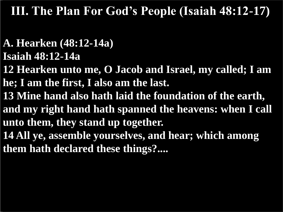## **III. The Plan For God's People (Isaiah 48:12-17)**

#### **A. Hearken (48:12-14a) Isaiah 48:12-14a**

- **12 Hearken unto me, O Jacob and Israel, my called; I am he; I am the first, I also am the last.**
- **13 Mine hand also hath laid the foundation of the earth, and my right hand hath spanned the heavens: when I call unto them, they stand up together.**
- **14 All ye, assemble yourselves, and hear; which among them hath declared these things?....**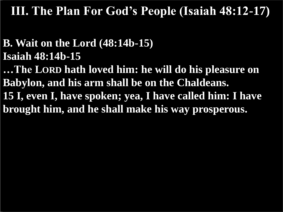**III. The Plan For God's People (Isaiah 48:12-17)**

#### **B. Wait on the Lord (48:14b-15) Isaiah 48:14b-15**

**…The LORD hath loved him: he will do his pleasure on Babylon, and his arm shall be on the Chaldeans. 15 I, even I, have spoken; yea, I have called him: I have brought him, and he shall make his way prosperous.**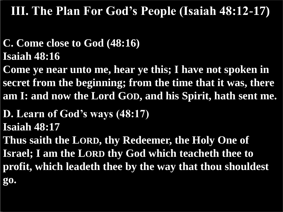## **III. The Plan For God's People (Isaiah 48:12-17)**

## **C. Come close to God (48:16) Isaiah 48:16**

**Come ye near unto me, hear ye this; I have not spoken in secret from the beginning; from the time that it was, there am I: and now the Lord GOD, and his Spirit, hath sent me.**

#### **D. Learn of God's ways (48:17) Isaiah 48:17**

**Thus saith the LORD, thy Redeemer, the Holy One of Israel; I am the LORD thy God which teacheth thee to profit, which leadeth thee by the way that thou shouldest go.**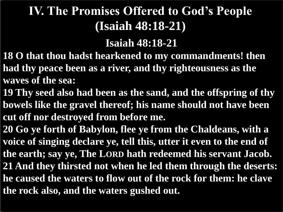# **IV. The Promises Offered to God's People (Isaiah 48:18-21)**

#### **Isaiah 48:18-21**

- **18 O that thou hadst hearkened to my commandments! then had thy peace been as a river, and thy righteousness as the waves of the sea:**
- **19 Thy seed also had been as the sand, and the offspring of thy bowels like the gravel thereof; his name should not have been cut off nor destroyed from before me.**
- **20 Go ye forth of Babylon, flee ye from the Chaldeans, with a voice of singing declare ye, tell this, utter it even to the end of the earth; say ye, The LORD hath redeemed his servant Jacob. 21 And they thirsted not when he led them through the deserts: he caused the waters to flow out of the rock for them: he clave the rock also, and the waters gushed out.**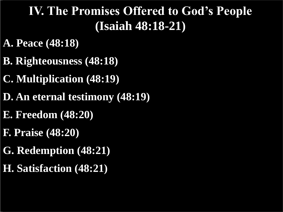## **IV. The Promises Offered to God's People (Isaiah 48:18-21)**

- **A. Peace (48:18)**
- **B. Righteousness (48:18)**
- **C. Multiplication (48:19)**
- **D. An eternal testimony (48:19)**
- **E. Freedom (48:20)**
- **F. Praise (48:20)**
- **G. Redemption (48:21)**
- **H. Satisfaction (48:21)**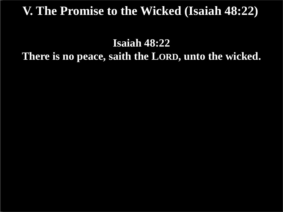## **V. The Promise to the Wicked (Isaiah 48:22)**

#### **Isaiah 48:22 There is no peace, saith the LORD, unto the wicked.**